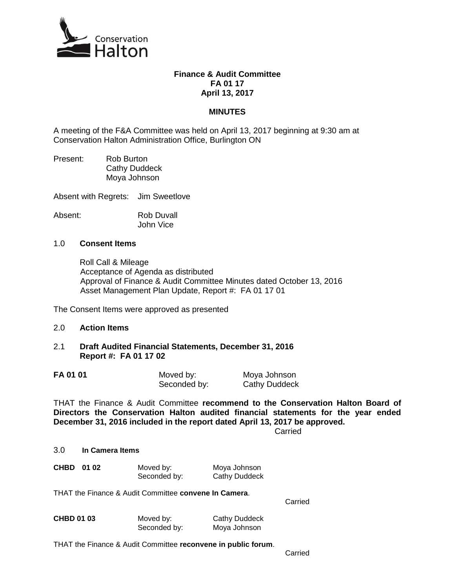

#### **Finance & Audit Committee FA 01 17 April 13, 2017**

### **MINUTES**

A meeting of the F&A Committee was held on April 13, 2017 beginning at 9:30 am at Conservation Halton Administration Office, Burlington ON

Present: Rob Burton Cathy Duddeck Moya Johnson

Absent with Regrets: Jim Sweetlove

Absent: Rob Duvall

John Vice

#### 1.0 **Consent Items**

Roll Call & Mileage Acceptance of Agenda as distributed Approval of Finance & Audit Committee Minutes dated October 13, 2016 Asset Management Plan Update, Report #: FA 01 17 01

The Consent Items were approved as presented

- 2.0 **Action Items**
- 2.1 **Draft Audited Financial Statements, December 31, 2016 Report #: FA 01 17 02**

| FA 01 01 | Moved by:    | Moya Johnson         |
|----------|--------------|----------------------|
|          | Seconded by: | <b>Cathy Duddeck</b> |

THAT the Finance & Audit Committee **recommend to the Conservation Halton Board of Directors the Conservation Halton audited financial statements for the year ended December 31, 2016 included in the report dated April 13, 2017 be approved.**

**Carried** 

#### 3.0 **In Camera Items**

| CHBD 01 02 |              | Moved by:            | Moya Johnson |
|------------|--------------|----------------------|--------------|
|            | Seconded by: | <b>Cathy Duddeck</b> |              |

THAT the Finance & Audit Committee **convene In Camera**.

Carried

| <b>CHBD 01 03</b> | Moved by:    | <b>Cathy Duddeck</b> |
|-------------------|--------------|----------------------|
|                   | Seconded by: | Moya Johnson         |

THAT the Finance & Audit Committee **reconvene in public forum**.